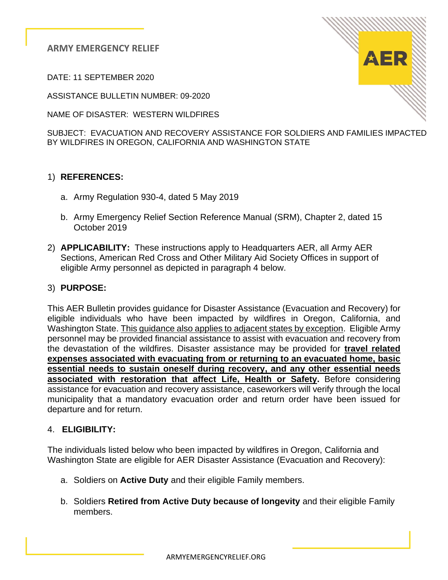**ARMY EMERGENCY RELIEF**

DATE: 11 SEPTEMBER 2020

ASSISTANCE BULLETIN NUMBER: 09-2020

NAME OF DISASTER: WESTERN WILDFIRES

SUBJECT: EVACUATION AND RECOVERY ASSISTANCE FOR SOLDIERS AND FAMILIES IMPACTED BY WILDFIRES IN OREGON, CALIFORNIA AND WASHINGTON STATE

# 1) **REFERENCES:**

- a. Army Regulation 930-4, dated 5 May 2019
- b. Army Emergency Relief Section Reference Manual (SRM), Chapter 2, dated 15 October 2019
- 2) **APPLICABILITY:** These instructions apply to Headquarters AER, all Army AER Sections, American Red Cross and Other Military Aid Society Offices in support of eligible Army personnel as depicted in paragraph 4 below.

#### 3) **PURPOSE:**

This AER Bulletin provides guidance for Disaster Assistance (Evacuation and Recovery) for eligible individuals who have been impacted by wildfires in Oregon, California, and Washington State. This guidance also applies to adjacent states by exception. Eligible Army personnel may be provided financial assistance to assist with evacuation and recovery from the devastation of the wildfires. Disaster assistance may be provided for **travel related expenses associated with evacuating from or returning to an evacuated home, basic essential needs to sustain oneself during recovery, and any other essential needs associated with restoration that affect Life, Health or Safety.** Before considering assistance for evacuation and recovery assistance, caseworkers will verify through the local municipality that a mandatory evacuation order and return order have been issued for departure and for return.

#### 4. **ELIGIBILITY:**

The individuals listed below who been impacted by wildfires in Oregon, California and Washington State are eligible for AER Disaster Assistance (Evacuation and Recovery):

- a. Soldiers on **Active Duty** and their eligible Family members.
- b. Soldiers **Retired from Active Duty because of longevity** and their eligible Family members.

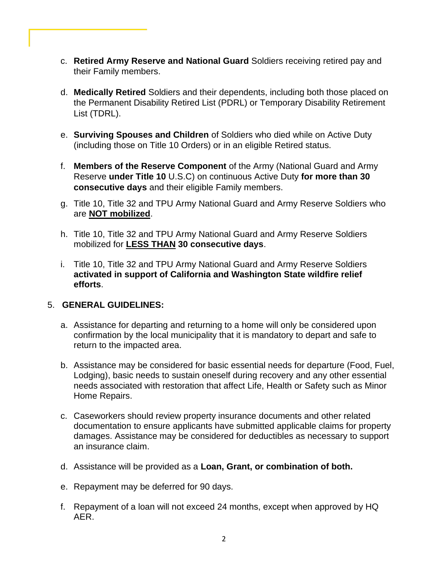- c. **Retired Army Reserve and National Guard** Soldiers receiving retired pay and their Family members.
- d. **Medically Retired** Soldiers and their dependents, including both those placed on the Permanent Disability Retired List (PDRL) or Temporary Disability Retirement List (TDRL).
- e. **Surviving Spouses and Children** of Soldiers who died while on Active Duty (including those on Title 10 Orders) or in an eligible Retired status.
- f. **Members of the Reserve Component** of the Army (National Guard and Army Reserve **under Title 10** U.S.C) on continuous Active Duty **for more than 30 consecutive days** and their eligible Family members.
- g. Title 10, Title 32 and TPU Army National Guard and Army Reserve Soldiers who are **NOT mobilized**.
- h. Title 10, Title 32 and TPU Army National Guard and Army Reserve Soldiers mobilized for **LESS THAN 30 consecutive days**.
- i. Title 10, Title 32 and TPU Army National Guard and Army Reserve Soldiers **activated in support of California and Washington State wildfire relief efforts**.

#### 5. **GENERAL GUIDELINES:**

- a. Assistance for departing and returning to a home will only be considered upon confirmation by the local municipality that it is mandatory to depart and safe to return to the impacted area.
- b. Assistance may be considered for basic essential needs for departure (Food, Fuel, Lodging), basic needs to sustain oneself during recovery and any other essential needs associated with restoration that affect Life, Health or Safety such as Minor Home Repairs.
- c. Caseworkers should review property insurance documents and other related documentation to ensure applicants have submitted applicable claims for property damages. Assistance may be considered for deductibles as necessary to support an insurance claim.
- d. Assistance will be provided as a **Loan, Grant, or combination of both.**
- e. Repayment may be deferred for 90 days.
- f. Repayment of a loan will not exceed 24 months, except when approved by HQ AER.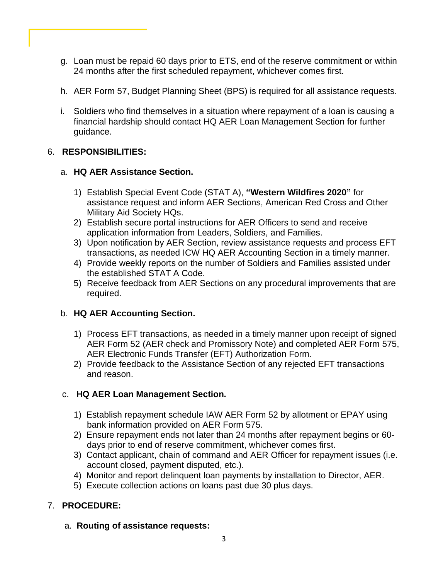- g. Loan must be repaid 60 days prior to ETS, end of the reserve commitment or within 24 months after the first scheduled repayment, whichever comes first.
- h. AER Form 57, Budget Planning Sheet (BPS) is required for all assistance requests.
- i. Soldiers who find themselves in a situation where repayment of a loan is causing a financial hardship should contact HQ AER Loan Management Section for further guidance.

## 6. **RESPONSIBILITIES:**

#### a. **HQ AER Assistance Section.**

- 1) Establish Special Event Code (STAT A), **"Western Wildfires 2020"** for assistance request and inform AER Sections, American Red Cross and Other Military Aid Society HQs.
- 2) Establish secure portal instructions for AER Officers to send and receive application information from Leaders, Soldiers, and Families.
- 3) Upon notification by AER Section, review assistance requests and process EFT transactions, as needed ICW HQ AER Accounting Section in a timely manner.
- 4) Provide weekly reports on the number of Soldiers and Families assisted under the established STAT A Code.
- 5) Receive feedback from AER Sections on any procedural improvements that are required.

# b. **HQ AER Accounting Section.**

- 1) Process EFT transactions, as needed in a timely manner upon receipt of signed AER Form 52 (AER check and Promissory Note) and completed AER Form 575, AER Electronic Funds Transfer (EFT) Authorization Form.
- 2) Provide feedback to the Assistance Section of any rejected EFT transactions and reason.

#### c. **HQ AER Loan Management Section.**

- 1) Establish repayment schedule IAW AER Form 52 by allotment or EPAY using bank information provided on AER Form 575.
- 2) Ensure repayment ends not later than 24 months after repayment begins or 60 days prior to end of reserve commitment, whichever comes first.
- 3) Contact applicant, chain of command and AER Officer for repayment issues (i.e. account closed, payment disputed, etc.).
- 4) Monitor and report delinquent loan payments by installation to Director, AER.
- 5) Execute collection actions on loans past due 30 plus days.

# 7. **PROCEDURE:**

a. **Routing of assistance requests:**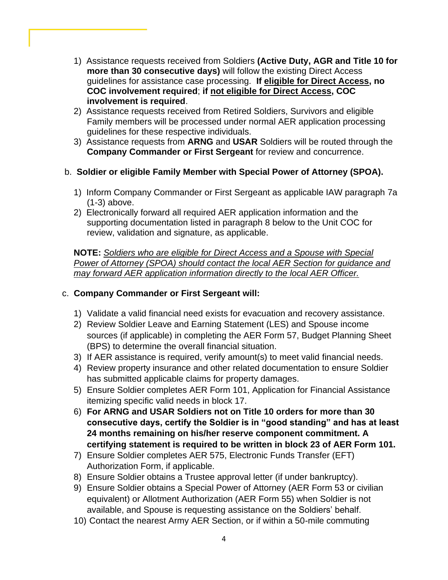- 1) Assistance requests received from Soldiers **(Active Duty, AGR and Title 10 for more than 30 consecutive days)** will follow the existing Direct Access guidelines for assistance case processing. **If eligible for Direct Access, no COC involvement required**; **if not eligible for Direct Access, COC involvement is required**.
- 2) Assistance requests received from Retired Soldiers, Survivors and eligible Family members will be processed under normal AER application processing guidelines for these respective individuals.
- 3)Assistance requests from **ARNG** and **USAR** Soldiers will be routed through the **Company Commander or First Sergeant** for review and concurrence.
- b. **Soldier or eligible Family Member with Special Power of Attorney (SPOA).**
	- 1) Inform Company Commander or First Sergeant as applicable IAW paragraph 7a (1-3) above.
	- 2) Electronically forward all required AER application information and the supporting documentation listed in paragraph 8 below to the Unit COC for review, validation and signature, as applicable.

**NOTE:** *Soldiers who are eligible for Direct Access and a Spouse with Special Power of Attorney (SPOA) should contact the local AER Section for guidance and may forward AER application information directly to the local AER Officer.* 

### c. **Company Commander or First Sergeant will:**

- 1) Validate a valid financial need exists for evacuation and recovery assistance.
- 2) Review Soldier Leave and Earning Statement (LES) and Spouse income sources (if applicable) in completing the AER Form 57, Budget Planning Sheet (BPS) to determine the overall financial situation.
- 3) If AER assistance is required, verify amount(s) to meet valid financial needs.
- 4) Review property insurance and other related documentation to ensure Soldier has submitted applicable claims for property damages.
- 5) Ensure Soldier completes AER Form 101, Application for Financial Assistance itemizing specific valid needs in block 17.
- 6) **For ARNG and USAR Soldiers not on Title 10 orders for more than 30 consecutive days, certify the Soldier is in "good standing" and has at least 24 months remaining on his/her reserve component commitment. A certifying statement is required to be written in block 23 of AER Form 101.**
- 7) Ensure Soldier completes AER 575, Electronic Funds Transfer (EFT) Authorization Form, if applicable.
- 8) Ensure Soldier obtains a Trustee approval letter (if under bankruptcy).
- 9) Ensure Soldier obtains a Special Power of Attorney (AER Form 53 or civilian equivalent) or Allotment Authorization (AER Form 55) when Soldier is not available, and Spouse is requesting assistance on the Soldiers' behalf.
- 10) Contact the nearest Army AER Section, or if within a 50-mile commuting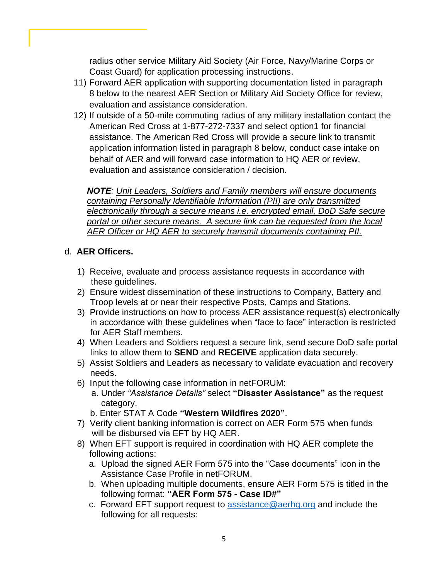radius other service Military Aid Society (Air Force, Navy/Marine Corps or Coast Guard) for application processing instructions.

- 11) Forward AER application with supporting documentation listed in paragraph 8 below to the nearest AER Section or Military Aid Society Office for review, evaluation and assistance consideration.
- 12) If outside of a 50-mile commuting radius of any military installation contact the American Red Cross at 1-877-272-7337 and select option1 for financial assistance. The American Red Cross will provide a secure link to transmit application information listed in paragraph 8 below, conduct case intake on behalf of AER and will forward case information to HQ AER or review, evaluation and assistance consideration / decision.

*NOTE: Unit Leaders, Soldiers and Family members will ensure documents containing Personally Identifiable Information (PII) are only transmitted electronically through a secure means i.e. encrypted email, DoD Safe secure portal or other secure means. A secure link can be requested from the local AER Officer or HQ AER to securely transmit documents containing PII.* 

## d. **AER Officers.**

- 1) Receive, evaluate and process assistance requests in accordance with these guidelines.
- 2) Ensure widest dissemination of these instructions to Company, Battery and Troop levels at or near their respective Posts, Camps and Stations.
- 3) Provide instructions on how to process AER assistance request(s) electronically in accordance with these guidelines when "face to face" interaction is restricted for AER Staff members.
- 4) When Leaders and Soldiers request a secure link, send secure DoD safe portal links to allow them to **SEND** and **RECEIVE** application data securely.
- 5) Assist Soldiers and Leaders as necessary to validate evacuation and recovery needs.
- 6) Input the following case information in netFORUM:
	- a. Under *"Assistance Details"* select **"Disaster Assistance"** as the request category.
		- b. Enter STAT A Code **"Western Wildfires 2020"**.
- 7) Verify client banking information is correct on AER Form 575 when funds will be disbursed via EFT by HQ AER.
- 8) When EFT support is required in coordination with HQ AER complete the following actions:
	- a. Upload the signed AER Form 575 into the "Case documents" icon in the Assistance Case Profile in netFORUM.
	- b. When uploading multiple documents, ensure AER Form 575 is titled in the following format: **"AER Form 575 - Case ID#"**
	- c. Forward EFT support request to [assistance@aerhq.org](mailto:assistance@aerhq.org) and include the following for all requests: